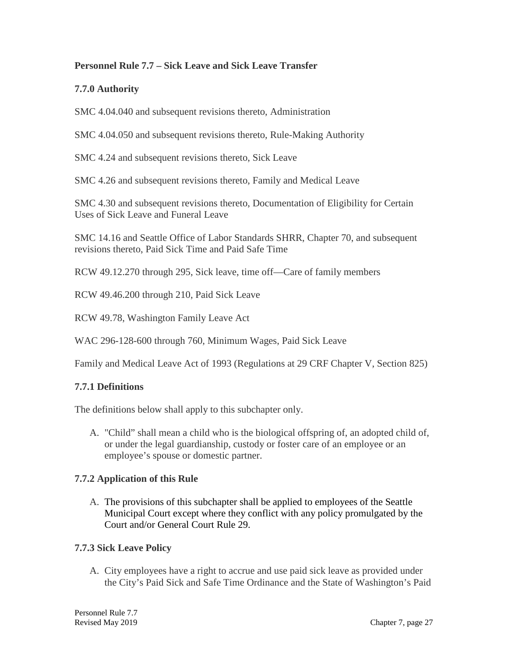### **Personnel Rule 7.7 – Sick Leave and Sick Leave Transfer**

### **7.7.0 Authority**

SMC 4.04.040 and subsequent revisions thereto, Administration

SMC 4.04.050 and subsequent revisions thereto, Rule-Making Authority

SMC 4.24 and subsequent revisions thereto, Sick Leave

SMC 4.26 and subsequent revisions thereto, Family and Medical Leave

SMC 4.30 and subsequent revisions thereto, Documentation of Eligibility for Certain Uses of Sick Leave and Funeral Leave

SMC 14.16 and Seattle Office of Labor Standards SHRR, Chapter 70, and subsequent revisions thereto, Paid Sick Time and Paid Safe Time

RCW 49.12.270 through 295, Sick leave, time off—Care of family members

RCW 49.46.200 through 210, Paid Sick Leave

RCW 49.78, Washington Family Leave Act

WAC 296-128-600 through 760, Minimum Wages, Paid Sick Leave

Family and Medical Leave Act of 1993 (Regulations at 29 CRF Chapter V, Section 825)

### **7.7.1 Definitions**

The definitions below shall apply to this subchapter only.

A. "Child" shall mean a child who is the biological offspring of, an adopted child of, or under the legal guardianship, custody or foster care of an employee or an employee's spouse or domestic partner.

### **7.7.2 Application of this Rule**

A. The provisions of this subchapter shall be applied to employees of the Seattle Municipal Court except where they conflict with any policy promulgated by the Court and/or General Court Rule 29.

### **7.7.3 Sick Leave Policy**

A. City employees have a right to accrue and use paid sick leave as provided under the City's Paid Sick and Safe Time Ordinance and the State of Washington's Paid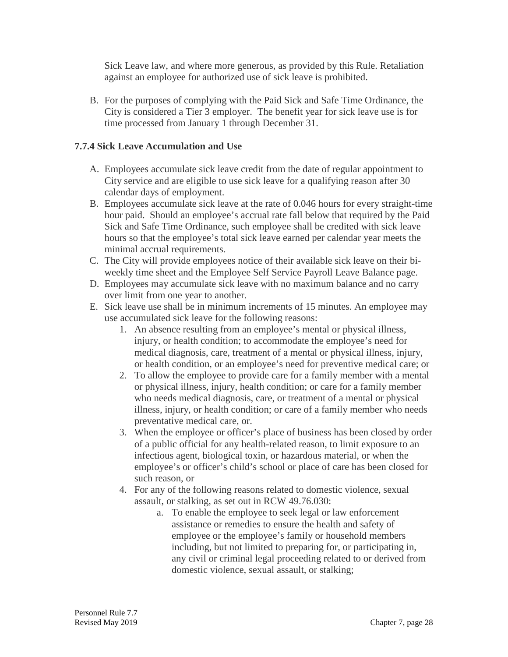Sick Leave law, and where more generous, as provided by this Rule. Retaliation against an employee for authorized use of sick leave is prohibited.

B. For the purposes of complying with the Paid Sick and Safe Time Ordinance, the City is considered a Tier 3 employer. The benefit year for sick leave use is for time processed from January 1 through December 31.

### **7.7.4 Sick Leave Accumulation and Use**

- A. Employees accumulate sick leave credit from the date of regular appointment to City service and are eligible to use sick leave for a qualifying reason after 30 calendar days of employment.
- B. Employees accumulate sick leave at the rate of 0.046 hours for every straight-time hour paid. Should an employee's accrual rate fall below that required by the Paid Sick and Safe Time Ordinance, such employee shall be credited with sick leave hours so that the employee's total sick leave earned per calendar year meets the minimal accrual requirements.
- C. The City will provide employees notice of their available sick leave on their biweekly time sheet and the Employee Self Service Payroll Leave Balance page.
- D. Employees may accumulate sick leave with no maximum balance and no carry over limit from one year to another.
- E. Sick leave use shall be in minimum increments of 15 minutes. An employee may use accumulated sick leave for the following reasons:
	- 1. An absence resulting from an employee's mental or physical illness, injury, or health condition; to accommodate the employee's need for medical diagnosis, care, treatment of a mental or physical illness, injury, or health condition, or an employee's need for preventive medical care; or
	- 2. To allow the employee to provide care for a family member with a mental or physical illness, injury, health condition; or care for a family member who needs medical diagnosis, care, or treatment of a mental or physical illness, injury, or health condition; or care of a family member who needs preventative medical care, or.
	- 3. When the employee or officer's place of business has been closed by order of a public official for any health-related reason, to limit exposure to an infectious agent, biological toxin, or hazardous material, or when the employee's or officer's child's school or place of care has been closed for such reason, or
	- 4. For any of the following reasons related to domestic violence, sexual assault, or stalking, as set out in RCW 49.76.030:
		- a. To enable the employee to seek legal or law enforcement assistance or remedies to ensure the health and safety of employee or the employee's family or household members including, but not limited to preparing for, or participating in, any civil or criminal legal proceeding related to or derived from domestic violence, sexual assault, or stalking;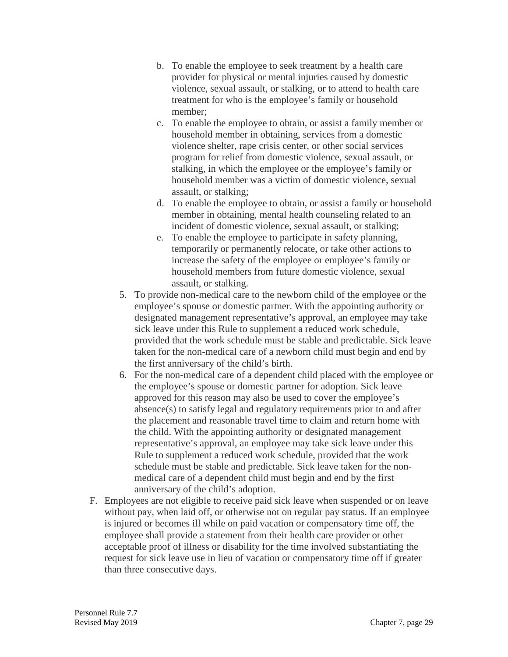- b. To enable the employee to seek treatment by a health care provider for physical or mental injuries caused by domestic violence, sexual assault, or stalking, or to attend to health care treatment for who is the employee's family or household member;
- c. To enable the employee to obtain, or assist a family member or household member in obtaining, services from a domestic violence shelter, rape crisis center, or other social services program for relief from domestic violence, sexual assault, or stalking, in which the employee or the employee's family or household member was a victim of domestic violence, sexual assault, or stalking;
- d. To enable the employee to obtain, or assist a family or household member in obtaining, mental health counseling related to an incident of domestic violence, sexual assault, or stalking;
- e. To enable the employee to participate in safety planning, temporarily or permanently relocate, or take other actions to increase the safety of the employee or employee's family or household members from future domestic violence, sexual assault, or stalking.
- 5. To provide non-medical care to the newborn child of the employee or the employee's spouse or domestic partner. With the appointing authority or designated management representative's approval, an employee may take sick leave under this Rule to supplement a reduced work schedule, provided that the work schedule must be stable and predictable. Sick leave taken for the non-medical care of a newborn child must begin and end by the first anniversary of the child's birth.
- 6. For the non-medical care of a dependent child placed with the employee or the employee's spouse or domestic partner for adoption. Sick leave approved for this reason may also be used to cover the employee's absence(s) to satisfy legal and regulatory requirements prior to and after the placement and reasonable travel time to claim and return home with the child. With the appointing authority or designated management representative's approval, an employee may take sick leave under this Rule to supplement a reduced work schedule, provided that the work schedule must be stable and predictable. Sick leave taken for the nonmedical care of a dependent child must begin and end by the first anniversary of the child's adoption.
- F. Employees are not eligible to receive paid sick leave when suspended or on leave without pay, when laid off, or otherwise not on regular pay status. If an employee is injured or becomes ill while on paid vacation or compensatory time off, the employee shall provide a statement from their health care provider or other acceptable proof of illness or disability for the time involved substantiating the request for sick leave use in lieu of vacation or compensatory time off if greater than three consecutive days.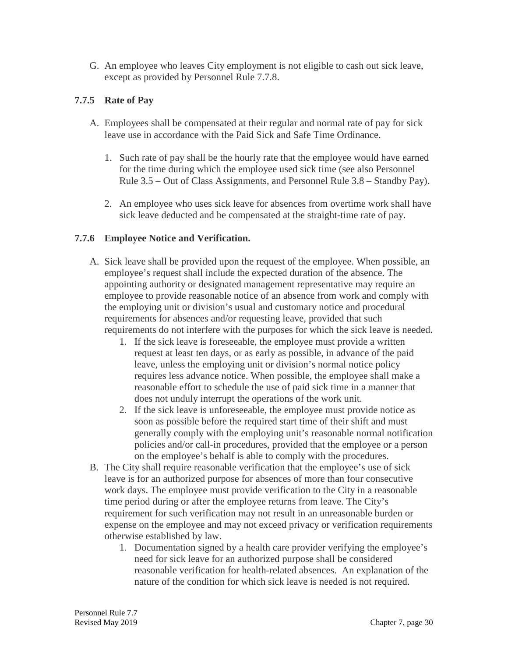G. An employee who leaves City employment is not eligible to cash out sick leave, except as provided by Personnel Rule 7.7.8.

### **7.7.5 Rate of Pay**

- A. Employees shall be compensated at their regular and normal rate of pay for sick leave use in accordance with the Paid Sick and Safe Time Ordinance.
	- 1. Such rate of pay shall be the hourly rate that the employee would have earned for the time during which the employee used sick time (see also Personnel Rule 3.5 – Out of Class Assignments, and Personnel Rule 3.8 – Standby Pay).
	- 2. An employee who uses sick leave for absences from overtime work shall have sick leave deducted and be compensated at the straight-time rate of pay.

### **7.7.6 Employee Notice and Verification.**

- A. Sick leave shall be provided upon the request of the employee. When possible, an employee's request shall include the expected duration of the absence. The appointing authority or designated management representative may require an employee to provide reasonable notice of an absence from work and comply with the employing unit or division's usual and customary notice and procedural requirements for absences and/or requesting leave, provided that such requirements do not interfere with the purposes for which the sick leave is needed.
	- 1. If the sick leave is foreseeable, the employee must provide a written request at least ten days, or as early as possible, in advance of the paid leave, unless the employing unit or division's normal notice policy requires less advance notice. When possible, the employee shall make a reasonable effort to schedule the use of paid sick time in a manner that does not unduly interrupt the operations of the work unit.
	- 2. If the sick leave is unforeseeable, the employee must provide notice as soon as possible before the required start time of their shift and must generally comply with the employing unit's reasonable normal notification policies and/or call-in procedures, provided that the employee or a person on the employee's behalf is able to comply with the procedures.
- B. The City shall require reasonable verification that the employee's use of sick leave is for an authorized purpose for absences of more than four consecutive work days. The employee must provide verification to the City in a reasonable time period during or after the employee returns from leave. The City's requirement for such verification may not result in an unreasonable burden or expense on the employee and may not exceed privacy or verification requirements otherwise established by law.
	- 1. Documentation signed by a health care provider verifying the employee's need for sick leave for an authorized purpose shall be considered reasonable verification for health-related absences. An explanation of the nature of the condition for which sick leave is needed is not required.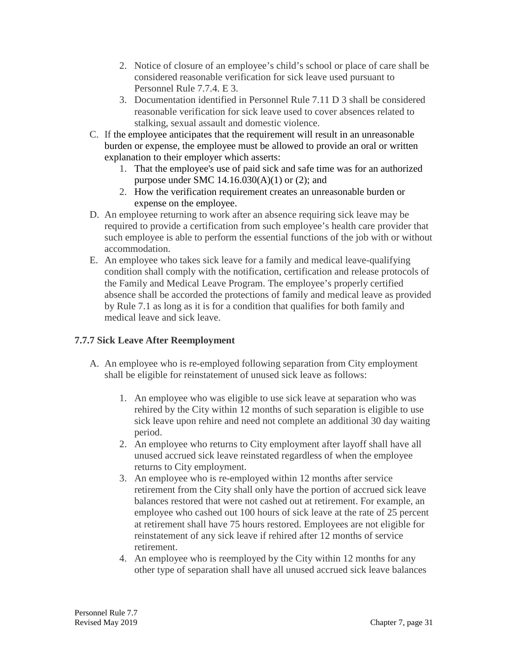- 2. Notice of closure of an employee's child's school or place of care shall be considered reasonable verification for sick leave used pursuant to Personnel Rule 7.7.4. E 3.
- 3. Documentation identified in Personnel Rule 7.11 D 3 shall be considered reasonable verification for sick leave used to cover absences related to stalking, sexual assault and domestic violence.
- C. If the employee anticipates that the requirement will result in an unreasonable burden or expense, the employee must be allowed to provide an oral or written explanation to their employer which asserts:
	- 1. That the employee's use of paid sick and safe time was for an authorized purpose under SMC  $14.16.030(A)(1)$  or  $(2)$ ; and
	- 2. How the verification requirement creates an unreasonable burden or expense on the employee.
- D. An employee returning to work after an absence requiring sick leave may be required to provide a certification from such employee's health care provider that such employee is able to perform the essential functions of the job with or without accommodation.
- E. An employee who takes sick leave for a family and medical leave-qualifying condition shall comply with the notification, certification and release protocols of the Family and Medical Leave Program. The employee's properly certified absence shall be accorded the protections of family and medical leave as provided by Rule 7.1 as long as it is for a condition that qualifies for both family and medical leave and sick leave.

# **7.7.7 Sick Leave After Reemployment**

- A. An employee who is re-employed following separation from City employment shall be eligible for reinstatement of unused sick leave as follows:
	- 1. An employee who was eligible to use sick leave at separation who was rehired by the City within 12 months of such separation is eligible to use sick leave upon rehire and need not complete an additional 30 day waiting period.
	- 2. An employee who returns to City employment after layoff shall have all unused accrued sick leave reinstated regardless of when the employee returns to City employment.
	- 3. An employee who is re-employed within 12 months after service retirement from the City shall only have the portion of accrued sick leave balances restored that were not cashed out at retirement. For example, an employee who cashed out 100 hours of sick leave at the rate of 25 percent at retirement shall have 75 hours restored. Employees are not eligible for reinstatement of any sick leave if rehired after 12 months of service retirement.
	- 4. An employee who is reemployed by the City within 12 months for any other type of separation shall have all unused accrued sick leave balances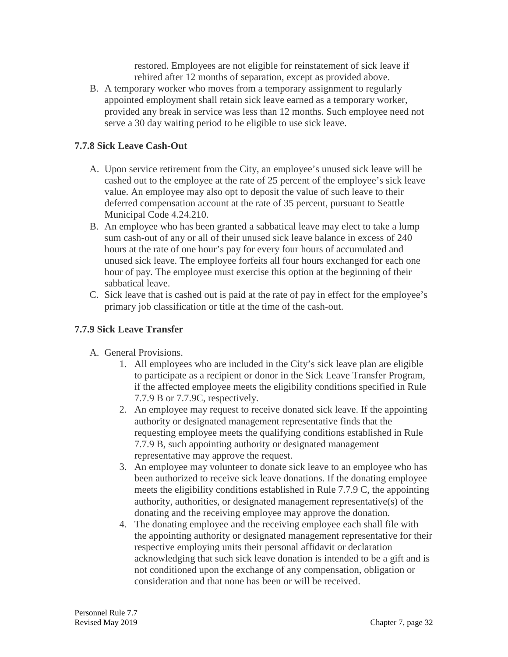restored. Employees are not eligible for reinstatement of sick leave if rehired after 12 months of separation, except as provided above.

B. A temporary worker who moves from a temporary assignment to regularly appointed employment shall retain sick leave earned as a temporary worker, provided any break in service was less than 12 months. Such employee need not serve a 30 day waiting period to be eligible to use sick leave.

### **7.7.8 Sick Leave Cash-Out**

- A. Upon service retirement from the City, an employee's unused sick leave will be cashed out to the employee at the rate of 25 percent of the employee's sick leave value. An employee may also opt to deposit the value of such leave to their deferred compensation account at the rate of 35 percent, pursuant to Seattle Municipal Code 4.24.210.
- B. An employee who has been granted a sabbatical leave may elect to take a lump sum cash-out of any or all of their unused sick leave balance in excess of 240 hours at the rate of one hour's pay for every four hours of accumulated and unused sick leave. The employee forfeits all four hours exchanged for each one hour of pay. The employee must exercise this option at the beginning of their sabbatical leave.
- C. Sick leave that is cashed out is paid at the rate of pay in effect for the employee's primary job classification or title at the time of the cash-out.

## **7.7.9 Sick Leave Transfer**

- A. General Provisions.
	- 1. All employees who are included in the City's sick leave plan are eligible to participate as a recipient or donor in the Sick Leave Transfer Program, if the affected employee meets the eligibility conditions specified in Rule 7.7.9 B or 7.7.9C, respectively.
	- 2. An employee may request to receive donated sick leave. If the appointing authority or designated management representative finds that the requesting employee meets the qualifying conditions established in Rule 7.7.9 B, such appointing authority or designated management representative may approve the request.
	- 3. An employee may volunteer to donate sick leave to an employee who has been authorized to receive sick leave donations. If the donating employee meets the eligibility conditions established in Rule 7.7.9 C, the appointing authority, authorities, or designated management representative(s) of the donating and the receiving employee may approve the donation.
	- 4. The donating employee and the receiving employee each shall file with the appointing authority or designated management representative for their respective employing units their personal affidavit or declaration acknowledging that such sick leave donation is intended to be a gift and is not conditioned upon the exchange of any compensation, obligation or consideration and that none has been or will be received.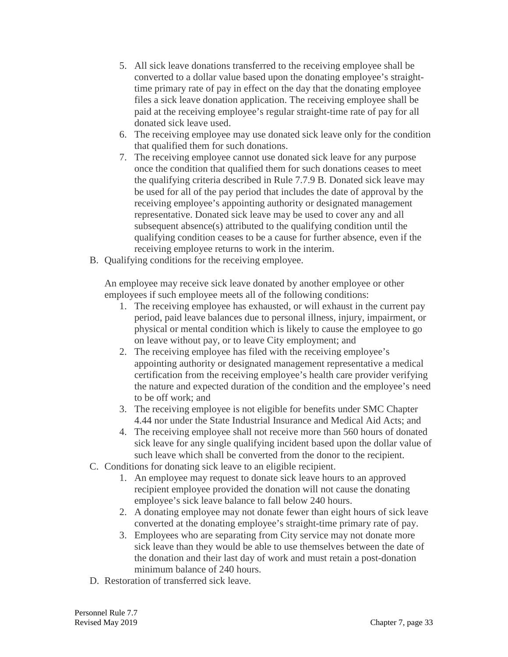- 5. All sick leave donations transferred to the receiving employee shall be converted to a dollar value based upon the donating employee's straighttime primary rate of pay in effect on the day that the donating employee files a sick leave donation application. The receiving employee shall be paid at the receiving employee's regular straight-time rate of pay for all donated sick leave used.
- 6. The receiving employee may use donated sick leave only for the condition that qualified them for such donations.
- 7. The receiving employee cannot use donated sick leave for any purpose once the condition that qualified them for such donations ceases to meet the qualifying criteria described in Rule 7.7.9 B. Donated sick leave may be used for all of the pay period that includes the date of approval by the receiving employee's appointing authority or designated management representative. Donated sick leave may be used to cover any and all subsequent absence(s) attributed to the qualifying condition until the qualifying condition ceases to be a cause for further absence, even if the receiving employee returns to work in the interim.
- B. Qualifying conditions for the receiving employee.

An employee may receive sick leave donated by another employee or other employees if such employee meets all of the following conditions:

- 1. The receiving employee has exhausted, or will exhaust in the current pay period, paid leave balances due to personal illness, injury, impairment, or physical or mental condition which is likely to cause the employee to go on leave without pay, or to leave City employment; and
- 2. The receiving employee has filed with the receiving employee's appointing authority or designated management representative a medical certification from the receiving employee's health care provider verifying the nature and expected duration of the condition and the employee's need to be off work; and
- 3. The receiving employee is not eligible for benefits under SMC Chapter 4.44 nor under the State Industrial Insurance and Medical Aid Acts; and
- 4. The receiving employee shall not receive more than 560 hours of donated sick leave for any single qualifying incident based upon the dollar value of such leave which shall be converted from the donor to the recipient.
- C. Conditions for donating sick leave to an eligible recipient.
	- 1. An employee may request to donate sick leave hours to an approved recipient employee provided the donation will not cause the donating employee's sick leave balance to fall below 240 hours.
	- 2. A donating employee may not donate fewer than eight hours of sick leave converted at the donating employee's straight-time primary rate of pay.
	- 3. Employees who are separating from City service may not donate more sick leave than they would be able to use themselves between the date of the donation and their last day of work and must retain a post-donation minimum balance of 240 hours.
- D. Restoration of transferred sick leave.